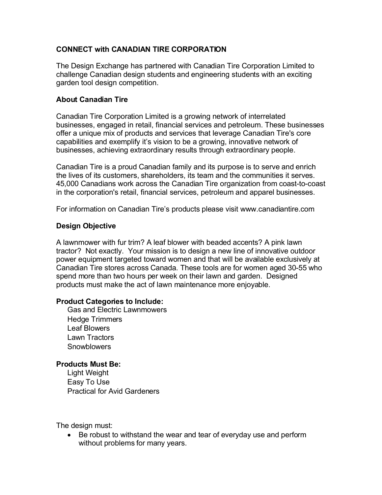# **CONNECT with CANADIAN TIRE CORPORATION**

The Design Exchange has partnered with Canadian Tire Corporation Limited to challenge Canadian design students and engineering students with an exciting garden tool design competition.

# **About Canadian Tire**

Canadian Tire Corporation Limited is a growing network of interrelated businesses, engaged in retail, financial services and petroleum. These businesses offer a unique mix of products and services that leverage Canadian Tire's core capabilities and exemplify it's vision to be a growing, innovative network of businesses, achieving extraordinary results through extraordinary people.

Canadian Tire is a proud Canadian family and its purpose is to serve and enrich the lives of its customers, shareholders, its team and the communities it serves. 45,000 Canadians work across the Canadian Tire organization from coast-to-coast in the corporation's retail, financial services, petroleum and apparel businesses.

For information on Canadian Tire's products please visit www.canadiantire.com

### **Design Objective**

A lawnmower with fur trim? A leaf blower with beaded accents? A pink lawn tractor? Not exactly. Your mission is to design a new line of innovative outdoor power equipment targeted toward women and that will be available exclusively at Canadian Tire stores across Canada. These tools are for women aged 30-55 who spend more than two hours per week on their lawn and garden. Designed products must make the act of lawn maintenance more enjoyable.

#### **Product Categories to Include:**

Gas and Electric Lawnmowers Hedge Trimmers Leaf Blowers Lawn Tractors **Snowblowers** 

### **Products Must Be:**

Light Weight Easy To Use Practical for Avid Gardeners

The design must:

 Be robust to withstand the wear and tear of everyday use and perform without problems for many years.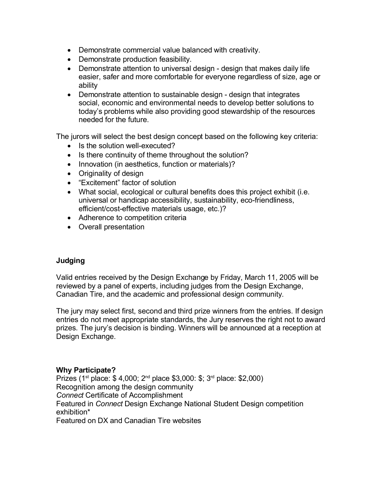- Demonstrate commercial value balanced with creativity.
- Demonstrate production feasibility.
- Demonstrate attention to universal design design that makes daily life easier, safer and more comfortable for everyone regardless of size, age or ability
- Demonstrate attention to sustainable design design that integrates social, economic and environmental needs to develop better solutions to today's problems while also providing good stewardship of the resources needed for the future.

The jurors will select the best design concept based on the following key criteria:

- Is the solution well-executed?
- Is there continuity of theme throughout the solution?
- Innovation (in aesthetics, function or materials)?
- Originality of design
- "Excitement" factor of solution
- What social, ecological or cultural benefits does this project exhibit (i.e. universal or handicap accessibility, sustainability, eco-friendliness, efficient/cost-effective materials usage, etc.)?
- Adherence to competition criteria
- Overall presentation

# **Judging**

Valid entries received by the Design Exchange by Friday, March 11, 2005 will be reviewed by a panel of experts, including judges from the Design Exchange, Canadian Tire, and the academic and professional design community.

The jury may select first, second and third prize winners from the entries. If design entries do not meet appropriate standards, the Jury reserves the right not to award prizes. The jury's decision is binding. Winners will be announced at a reception at Design Exchange.

# **Why Participate?**

Prizes (1<sup>st</sup> place: \$4,000; 2<sup>nd</sup> place \$3,000: \$; 3<sup>rd</sup> place: \$2,000) Recognition among the design community *Connect* Certificate of Accomplishment Featured in *Connect* Design Exchange National Student Design competition exhibition\* Featured on DX and Canadian Tire websites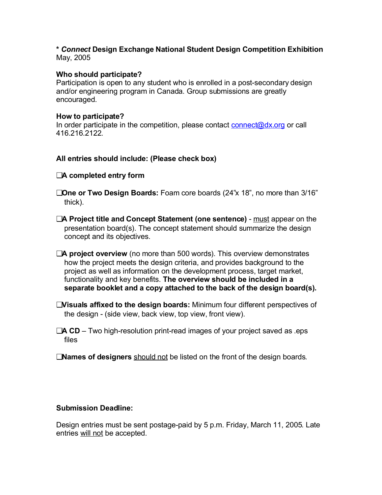# **\*** *Connect* **Design Exchange National Student Design Competition Exhibition** May, 2005

# **Who should participate?**

Participation is open to any student who is enrolled in a post-secondary design and/or engineering program in Canada. Group submissions are greatly encouraged.

#### **How to participate?**

In order participate in the competition, please contact connect@dx.org or call 416.216.2122.

#### **All entries should include: (Please check box)**

### ❑**A completed entry form**

- ❑**One or Two Design Boards:** Foam core boards (24"x 18", no more than 3/16" thick).
- ❑**A Project title and Concept Statement (one sentence)** must appear on the presentation board(s). The concept statement should summarize the design concept and its objectives.
- ❑**A project overview** (no more than 500 words). This overview demonstrates how the project meets the design criteria, and provides background to the project as well as information on the development process, target market, functionality and key benefits. **The overview should be included in a separate booklet and a copy attached to the back of the design board(s).**
- ❑**Visuals affixed to the design boards:** Minimum four different perspectives of the design - (side view, back view, top view, front view).
- ❑**A CD** Two high-resolution print-read images of your project saved as .eps files
- ❑**Names of designers** should not be listed on the front of the design boards.

#### **Submission Deadline:**

Design entries must be sent postage-paid by 5 p.m. Friday, March 11, 2005. Late entries will not be accepted.